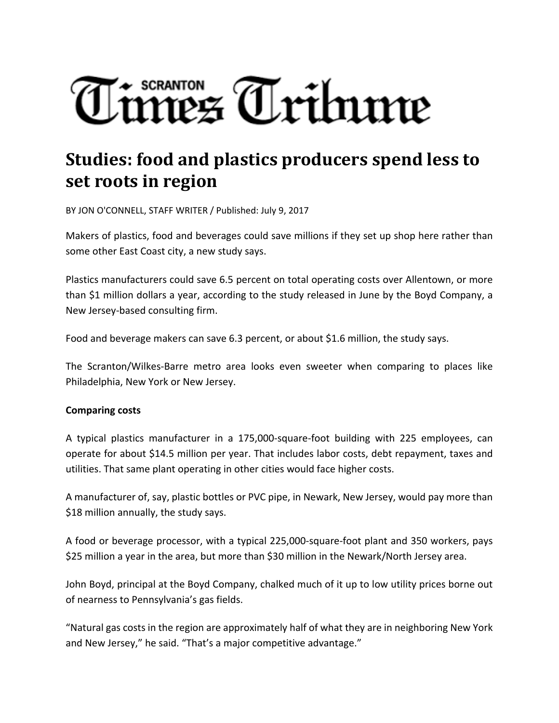# SCRANTON<br>MEZ Tribune

# **Studies: food and plastics producers spend less to set roots in region**

BY JON O'CONNELL, STAFF WRITER / Published: July 9, 2017

Makers of plastics, food and beverages could save millions if they set up shop here rather than some other East Coast city, a new study says.

Plastics manufacturers could save 6.5 percent on total operating costs over Allentown, or more than \$1 million dollars a year, according to the study released in June by the Boyd Company, a New Jersey‐based consulting firm.

Food and beverage makers can save 6.3 percent, or about \$1.6 million, the study says.

The Scranton/Wilkes‐Barre metro area looks even sweeter when comparing to places like Philadelphia, New York or New Jersey.

#### **Comparing costs**

A typical plastics manufacturer in a 175,000‐square‐foot building with 225 employees, can operate for about \$14.5 million per year. That includes labor costs, debt repayment, taxes and utilities. That same plant operating in other cities would face higher costs.

A manufacturer of, say, plastic bottles or PVC pipe, in Newark, New Jersey, would pay more than \$18 million annually, the study says.

A food or beverage processor, with a typical 225,000‐square‐foot plant and 350 workers, pays \$25 million a year in the area, but more than \$30 million in the Newark/North Jersey area.

John Boyd, principal at the Boyd Company, chalked much of it up to low utility prices borne out of nearness to Pennsylvania's gas fields.

"Natural gas costs in the region are approximately half of what they are in neighboring New York and New Jersey," he said. "That's a major competitive advantage."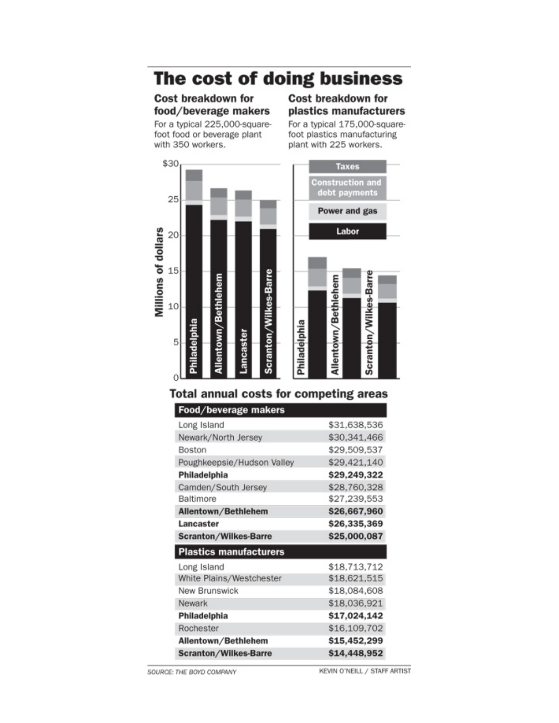## The cost of doing business

#### **Cost breakdown for** food/beverage makers

For a typical 225,000-squarefoot food or beverage plant with 350 workers.

### **Cost breakdown for** plastics manufacturers

For a typical 175,000-squarefoot plastics manufacturing plant with 225 workers.



## **Total annual costs for competing areas**

| rood/beverage makers          |              |
|-------------------------------|--------------|
| Long Island                   | \$31,638,536 |
| Newark/North Jersey           | \$30,341,466 |
| Boston                        | \$29,509,537 |
| Poughkeepsie/Hudson Valley    | \$29,421,140 |
| Philadelphia                  | \$29,249,322 |
| Camden/South Jersey           | \$28,760,328 |
| Baltimore                     | \$27,239,553 |
| Allentown/Bethlehem           | \$26,667,960 |
| Lancaster                     | \$26,335,369 |
| <b>Scranton/Wilkes-Barre</b>  | \$25,000,087 |
| <b>Plastics manufacturers</b> |              |
| Long Island                   | \$18,713,712 |
| White Plains/Westchester      | \$18,621,515 |
| New Brunswick                 | \$18,084,608 |
| Newark                        | \$18,036,921 |
| Philadelphia                  | \$17,024,142 |
| Rochester                     | \$16,109,702 |
| Allentown/Bethlehem           | \$15,452,299 |
| <b>Scranton/Wilkes-Barre</b>  | \$14,448,952 |

 $F = 4.4$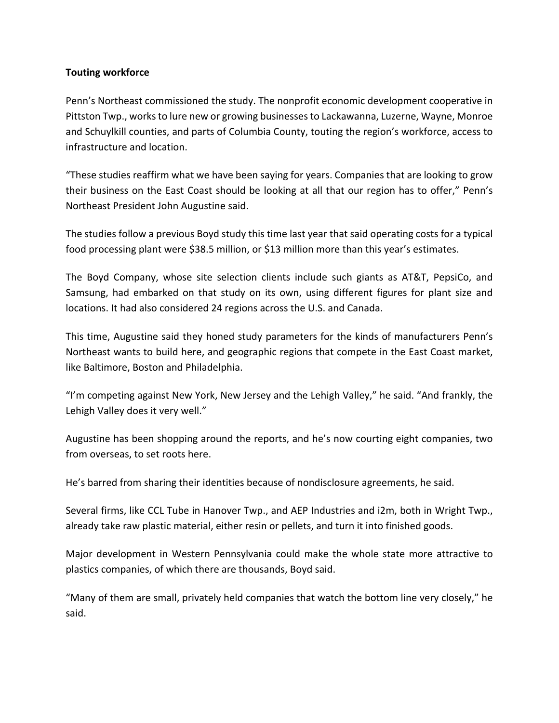#### **Touting workforce**

Penn's Northeast commissioned the study. The nonprofit economic development cooperative in Pittston Twp., works to lure new or growing businesses to Lackawanna, Luzerne, Wayne, Monroe and Schuylkill counties, and parts of Columbia County, touting the region's workforce, access to infrastructure and location.

"These studies reaffirm what we have been saying for years. Companies that are looking to grow their business on the East Coast should be looking at all that our region has to offer," Penn's Northeast President John Augustine said.

The studies follow a previous Boyd study this time last year that said operating costs for a typical food processing plant were \$38.5 million, or \$13 million more than this year's estimates.

The Boyd Company, whose site selection clients include such giants as AT&T, PepsiCo, and Samsung, had embarked on that study on its own, using different figures for plant size and locations. It had also considered 24 regions across the U.S. and Canada.

This time, Augustine said they honed study parameters for the kinds of manufacturers Penn's Northeast wants to build here, and geographic regions that compete in the East Coast market, like Baltimore, Boston and Philadelphia.

"I'm competing against New York, New Jersey and the Lehigh Valley," he said. "And frankly, the Lehigh Valley does it very well."

Augustine has been shopping around the reports, and he's now courting eight companies, two from overseas, to set roots here.

He's barred from sharing their identities because of nondisclosure agreements, he said.

Several firms, like CCL Tube in Hanover Twp., and AEP Industries and i2m, both in Wright Twp., already take raw plastic material, either resin or pellets, and turn it into finished goods.

Major development in Western Pennsylvania could make the whole state more attractive to plastics companies, of which there are thousands, Boyd said.

"Many of them are small, privately held companies that watch the bottom line very closely," he said.